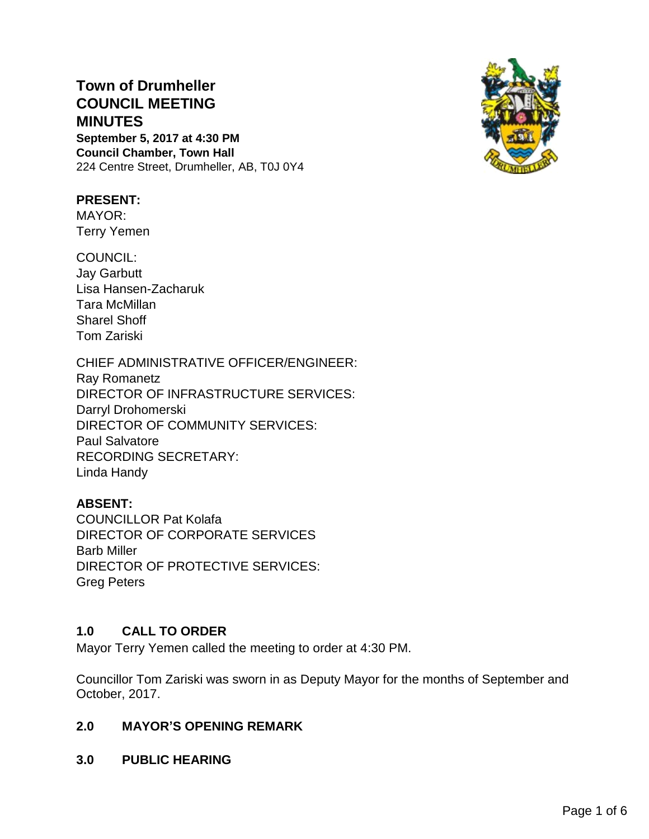# **Town of Drumheller COUNCIL MEETING MINUTES**

**September 5, 2017 at 4:30 PM Council Chamber, Town Hall** 224 Centre Street, Drumheller, AB, T0J 0Y4

# **PRESENT:**

MAYOR: Terry Yemen

COUNCIL: Jay Garbutt Lisa Hansen-Zacharuk Tara McMillan Sharel Shoff Tom Zariski

CHIEF ADMINISTRATIVE OFFICER/ENGINEER:

Ray Romanetz DIRECTOR OF INFRASTRUCTURE SERVICES: Darryl Drohomerski DIRECTOR OF COMMUNITY SERVICES: Paul Salvatore RECORDING SECRETARY: Linda Handy

# **ABSENT:**

COUNCILLOR Pat Kolafa DIRECTOR OF CORPORATE SERVICES Barb Miller DIRECTOR OF PROTECTIVE SERVICES: Greg Peters

## **1.0 CALL TO ORDER**

Mayor Terry Yemen called the meeting to order at 4:30 PM.

Councillor Tom Zariski was sworn in as Deputy Mayor for the months of September and October, 2017.

# **2.0 MAYOR'S OPENING REMARK**

**3.0 PUBLIC HEARING**

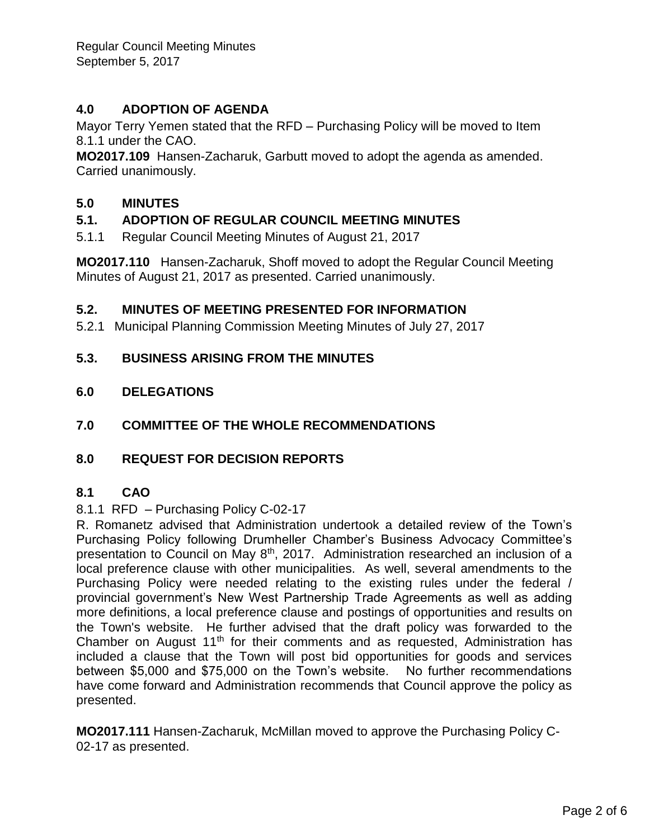Regular Council Meeting Minutes September 5, 2017

# **4.0 ADOPTION OF AGENDA**

Mayor Terry Yemen stated that the RFD – Purchasing Policy will be moved to Item 8.1.1 under the CAO.

**MO2017.109** Hansen-Zacharuk, Garbutt moved to adopt the agenda as amended. Carried unanimously.

## **5.0 MINUTES**

# **5.1. ADOPTION OF REGULAR COUNCIL MEETING MINUTES**

5.1.1 Regular Council Meeting Minutes of August 21, 2017

**MO2017.110** Hansen-Zacharuk, Shoff moved to adopt the Regular Council Meeting Minutes of August 21, 2017 as presented. Carried unanimously.

#### **5.2. MINUTES OF MEETING PRESENTED FOR INFORMATION**

5.2.1 Municipal Planning Commission Meeting Minutes of July 27, 2017

#### **5.3. BUSINESS ARISING FROM THE MINUTES**

- **6.0 DELEGATIONS**
- **7.0 COMMITTEE OF THE WHOLE RECOMMENDATIONS**
- **8.0 REQUEST FOR DECISION REPORTS**

#### **8.1 CAO**

#### 8.1.1 RFD – Purchasing Policy C-02-17

R. Romanetz advised that Administration undertook a detailed review of the Town's Purchasing Policy following Drumheller Chamber's Business Advocacy Committee's presentation to Council on May 8<sup>th</sup>, 2017. Administration researched an inclusion of a local preference clause with other municipalities. As well, several amendments to the Purchasing Policy were needed relating to the existing rules under the federal / provincial government's New West Partnership Trade Agreements as well as adding more definitions, a local preference clause and postings of opportunities and results on the Town's website. He further advised that the draft policy was forwarded to the Chamber on August 11<sup>th</sup> for their comments and as requested, Administration has included a clause that the Town will post bid opportunities for goods and services between \$5,000 and \$75,000 on the Town's website. No further recommendations have come forward and Administration recommends that Council approve the policy as presented.

**MO2017.111** Hansen-Zacharuk, McMillan moved to approve the Purchasing Policy C-02-17 as presented.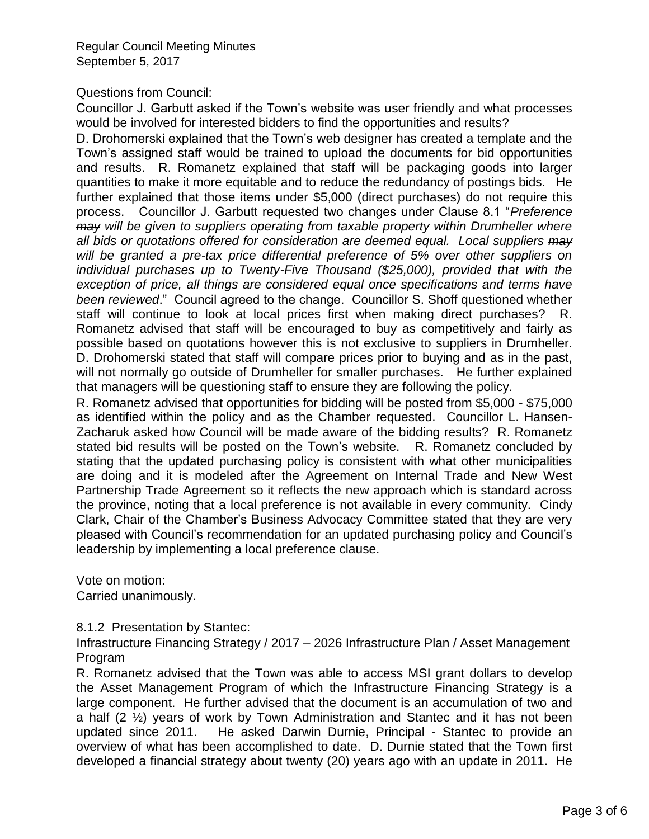Regular Council Meeting Minutes September 5, 2017

#### Questions from Council:

Councillor J. Garbutt asked if the Town's website was user friendly and what processes would be involved for interested bidders to find the opportunities and results?

D. Drohomerski explained that the Town's web designer has created a template and the Town's assigned staff would be trained to upload the documents for bid opportunities and results. R. Romanetz explained that staff will be packaging goods into larger quantities to make it more equitable and to reduce the redundancy of postings bids. He further explained that those items under \$5,000 (direct purchases) do not require this process. Councillor J. Garbutt requested two changes under Clause 8.1 "*Preference may will be given to suppliers operating from taxable property within Drumheller where all bids or quotations offered for consideration are deemed equal. Local suppliers may will be granted a pre-tax price differential preference of 5% over other suppliers on individual purchases up to Twenty-Five Thousand (\$25,000), provided that with the exception of price, all things are considered equal once specifications and terms have been reviewed*." Council agreed to the change. Councillor S. Shoff questioned whether staff will continue to look at local prices first when making direct purchases? R. Romanetz advised that staff will be encouraged to buy as competitively and fairly as possible based on quotations however this is not exclusive to suppliers in Drumheller. D. Drohomerski stated that staff will compare prices prior to buying and as in the past, will not normally go outside of Drumheller for smaller purchases. He further explained that managers will be questioning staff to ensure they are following the policy.

R. Romanetz advised that opportunities for bidding will be posted from \$5,000 - \$75,000 as identified within the policy and as the Chamber requested. Councillor L. Hansen-Zacharuk asked how Council will be made aware of the bidding results? R. Romanetz stated bid results will be posted on the Town's website. R. Romanetz concluded by stating that the updated purchasing policy is consistent with what other municipalities are doing and it is modeled after the Agreement on Internal Trade and New West Partnership Trade Agreement so it reflects the new approach which is standard across the province, noting that a local preference is not available in every community. Cindy Clark, Chair of the Chamber's Business Advocacy Committee stated that they are very pleased with Council's recommendation for an updated purchasing policy and Council's leadership by implementing a local preference clause.

Vote on motion: Carried unanimously.

#### 8.1.2 Presentation by Stantec:

Infrastructure Financing Strategy / 2017 – 2026 Infrastructure Plan / Asset Management Program

R. Romanetz advised that the Town was able to access MSI grant dollars to develop the Asset Management Program of which the Infrastructure Financing Strategy is a large component. He further advised that the document is an accumulation of two and a half (2 ½) years of work by Town Administration and Stantec and it has not been updated since 2011. He asked Darwin Durnie, Principal - Stantec to provide an overview of what has been accomplished to date. D. Durnie stated that the Town first developed a financial strategy about twenty (20) years ago with an update in 2011. He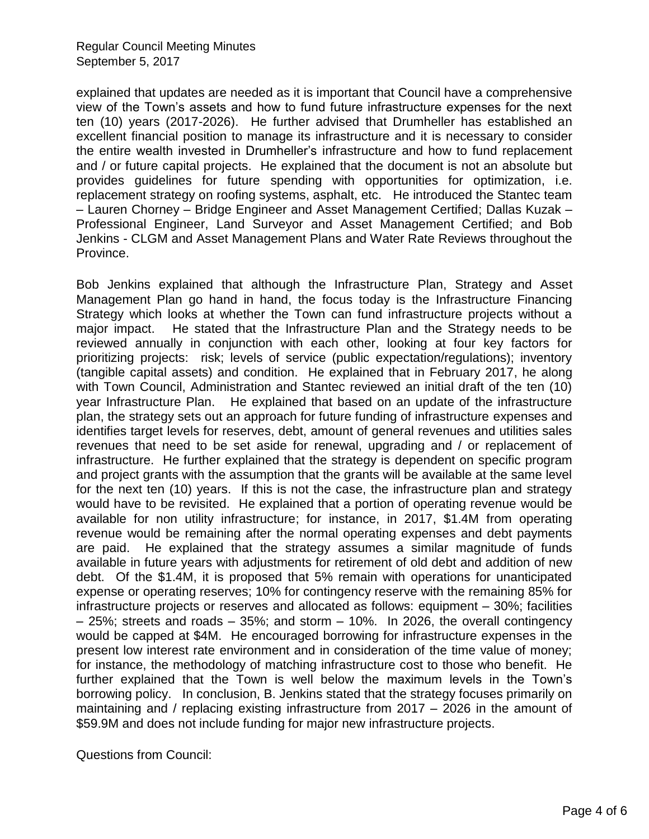explained that updates are needed as it is important that Council have a comprehensive view of the Town's assets and how to fund future infrastructure expenses for the next ten (10) years (2017-2026). He further advised that Drumheller has established an excellent financial position to manage its infrastructure and it is necessary to consider the entire wealth invested in Drumheller's infrastructure and how to fund replacement and / or future capital projects. He explained that the document is not an absolute but provides guidelines for future spending with opportunities for optimization, i.e. replacement strategy on roofing systems, asphalt, etc. He introduced the Stantec team – Lauren Chorney – Bridge Engineer and Asset Management Certified; Dallas Kuzak – Professional Engineer, Land Surveyor and Asset Management Certified; and Bob Jenkins - CLGM and Asset Management Plans and Water Rate Reviews throughout the Province.

Bob Jenkins explained that although the Infrastructure Plan, Strategy and Asset Management Plan go hand in hand, the focus today is the Infrastructure Financing Strategy which looks at whether the Town can fund infrastructure projects without a major impact. He stated that the Infrastructure Plan and the Strategy needs to be reviewed annually in conjunction with each other, looking at four key factors for prioritizing projects: risk; levels of service (public expectation/regulations); inventory (tangible capital assets) and condition. He explained that in February 2017, he along with Town Council, Administration and Stantec reviewed an initial draft of the ten (10) year Infrastructure Plan. He explained that based on an update of the infrastructure plan, the strategy sets out an approach for future funding of infrastructure expenses and identifies target levels for reserves, debt, amount of general revenues and utilities sales revenues that need to be set aside for renewal, upgrading and / or replacement of infrastructure. He further explained that the strategy is dependent on specific program and project grants with the assumption that the grants will be available at the same level for the next ten (10) years. If this is not the case, the infrastructure plan and strategy would have to be revisited. He explained that a portion of operating revenue would be available for non utility infrastructure; for instance, in 2017, \$1.4M from operating revenue would be remaining after the normal operating expenses and debt payments are paid. He explained that the strategy assumes a similar magnitude of funds available in future years with adjustments for retirement of old debt and addition of new debt. Of the \$1.4M, it is proposed that 5% remain with operations for unanticipated expense or operating reserves; 10% for contingency reserve with the remaining 85% for infrastructure projects or reserves and allocated as follows: equipment – 30%; facilities – 25%; streets and roads – 35%; and storm – 10%. In 2026, the overall contingency would be capped at \$4M. He encouraged borrowing for infrastructure expenses in the present low interest rate environment and in consideration of the time value of money; for instance, the methodology of matching infrastructure cost to those who benefit. He further explained that the Town is well below the maximum levels in the Town's borrowing policy. In conclusion, B. Jenkins stated that the strategy focuses primarily on maintaining and / replacing existing infrastructure from 2017 – 2026 in the amount of \$59.9M and does not include funding for major new infrastructure projects.

Questions from Council: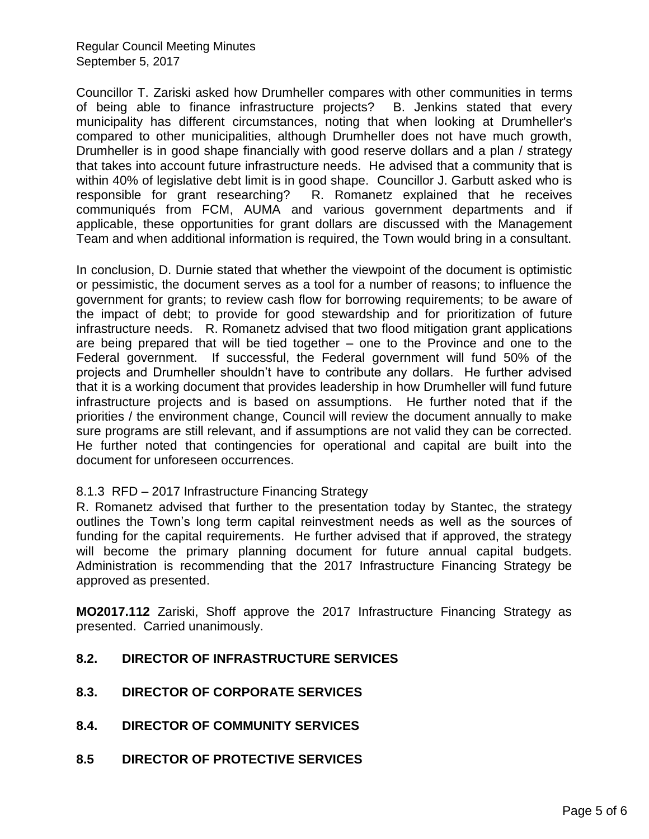Regular Council Meeting Minutes September 5, 2017

Councillor T. Zariski asked how Drumheller compares with other communities in terms of being able to finance infrastructure projects? B. Jenkins stated that every municipality has different circumstances, noting that when looking at Drumheller's compared to other municipalities, although Drumheller does not have much growth, Drumheller is in good shape financially with good reserve dollars and a plan / strategy that takes into account future infrastructure needs. He advised that a community that is within 40% of legislative debt limit is in good shape. Councillor J. Garbutt asked who is responsible for grant researching? R. Romanetz explained that he receives R. Romanetz explained that he receives communiqués from FCM, AUMA and various government departments and if applicable, these opportunities for grant dollars are discussed with the Management Team and when additional information is required, the Town would bring in a consultant.

In conclusion, D. Durnie stated that whether the viewpoint of the document is optimistic or pessimistic, the document serves as a tool for a number of reasons; to influence the government for grants; to review cash flow for borrowing requirements; to be aware of the impact of debt; to provide for good stewardship and for prioritization of future infrastructure needs. R. Romanetz advised that two flood mitigation grant applications are being prepared that will be tied together – one to the Province and one to the Federal government. If successful, the Federal government will fund 50% of the projects and Drumheller shouldn't have to contribute any dollars. He further advised that it is a working document that provides leadership in how Drumheller will fund future infrastructure projects and is based on assumptions. He further noted that if the priorities / the environment change, Council will review the document annually to make sure programs are still relevant, and if assumptions are not valid they can be corrected. He further noted that contingencies for operational and capital are built into the document for unforeseen occurrences.

#### 8.1.3 RFD – 2017 Infrastructure Financing Strategy

R. Romanetz advised that further to the presentation today by Stantec, the strategy outlines the Town's long term capital reinvestment needs as well as the sources of funding for the capital requirements. He further advised that if approved, the strategy will become the primary planning document for future annual capital budgets. Administration is recommending that the 2017 Infrastructure Financing Strategy be approved as presented.

**MO2017.112** Zariski, Shoff approve the 2017 Infrastructure Financing Strategy as presented. Carried unanimously.

- **8.2. DIRECTOR OF INFRASTRUCTURE SERVICES**
- **8.3. DIRECTOR OF CORPORATE SERVICES**
- **8.4. DIRECTOR OF COMMUNITY SERVICES**
- **8.5 DIRECTOR OF PROTECTIVE SERVICES**